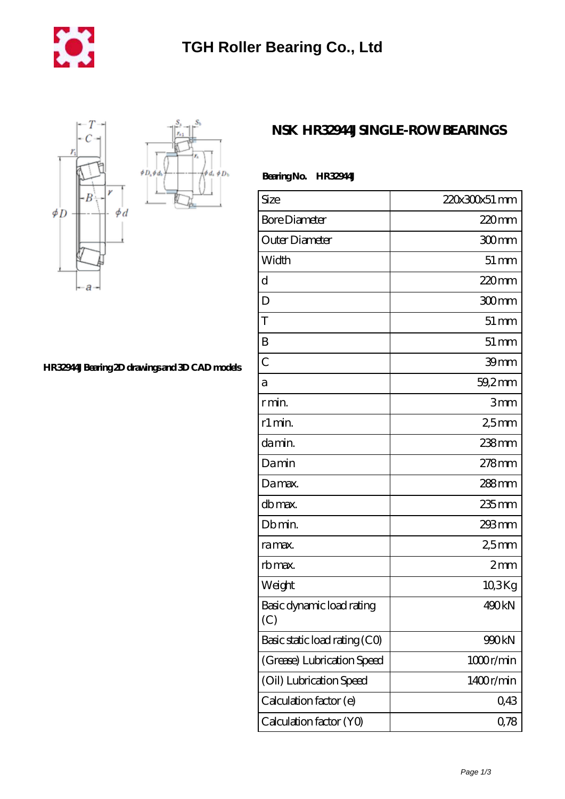

φà,  $\phi D_h$ 



**[HR32944J Bearing 2D drawings and 3D CAD models](https://m.mywebsitenews.com/pic-13449.html)**

## **[NSK HR32944J SINGLE-ROW BEARINGS](https://m.mywebsitenews.com/au-13449-nsk-hr32944j-single-row-bearings.html)**

| Bearing No. | <b>HR32944J</b> |
|-------------|-----------------|
|-------------|-----------------|

| Size                             | 220x300x51 mm       |
|----------------------------------|---------------------|
| <b>Bore Diameter</b>             | 220mm               |
| Outer Diameter                   | 300mm               |
| Width                            | $51 \,\mathrm{mm}$  |
| d                                | $220$ mm            |
| D                                | 300mm               |
| T                                | $51 \, \mathrm{mm}$ |
| B                                | $51 \,\mathrm{mm}$  |
| $\overline{C}$                   | 39mm                |
| а                                | 59,2mm              |
| r min.                           | 3mm                 |
| r1 min.                          | 25mm                |
| da min.                          | $238$ mm            |
| Damin                            | $278$ mm            |
| Damax.                           | $288$ mm            |
| db max.                          | 235mm               |
| Db min.                          | 293mm               |
| ra max.                          | 25mm                |
| rb max.                          | 2mm                 |
| Weight                           | $10.3$ Kg           |
| Basic dynamic load rating<br>(C) | 490 <sub>kN</sub>   |
| Basic static load rating (CO)    | 990kN               |
| (Grease) Lubrication Speed       | 1000r/min           |
| (Oil) Lubrication Speed          | 1400r/min           |
| Calculation factor (e)           | 0,43                |
| Calculation factor (YO)          | 0,78                |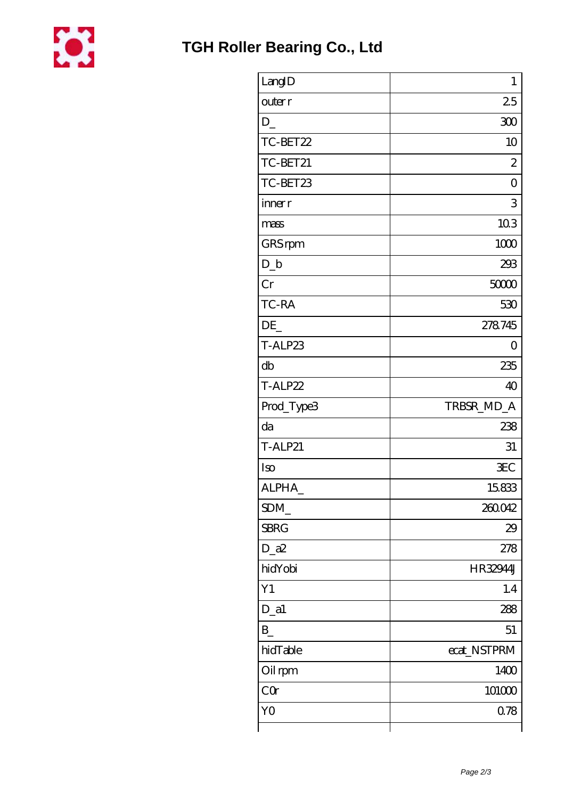

| LangID         | $\mathbf{1}$   |
|----------------|----------------|
| outer r        | 25             |
| $D_{-}$        | 300            |
| TC-BET22       | 10             |
| TC-BET21       | $\mathbf{z}$   |
| TC-BET23       | $\overline{O}$ |
| inner r        | 3              |
| mass           | 103            |
| GRS rpm        | 1000           |
| $D_b$          | 293            |
| Cr             | 5000           |
| TC-RA          | 530            |
| DE             | 278745         |
| T-ALP23        | 0              |
| db             | 235            |
| T-ALP22        | 40             |
| Prod_Type3     | TRBSR_MD_A     |
| da             | 238            |
| T-ALP21        | 31             |
| Iso            | <b>EC</b>      |
| ALPHA          | 15833          |
| SDM            | 260.042        |
| <b>SBRG</b>    | 29             |
| $D_2a2$        | 278            |
| hidYobi        | HR32944J       |
| Y1             | 1.4            |
| $D_$ a1        | 288            |
| $B_{-}$        | 51             |
| hidTable       | ecat_NSTPRM    |
| Oil rpm        | 1400           |
| CQ             | 101000         |
| Y <sub>O</sub> | 0.78           |
|                |                |